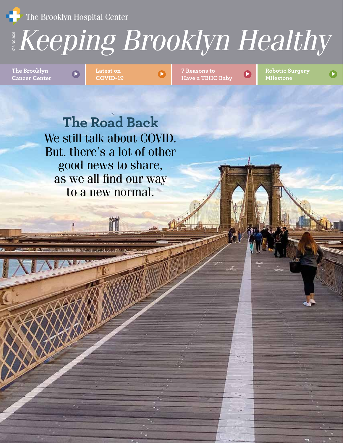**The Brooklyn Hospital Center** 

## SPRING *Keeping Brooklyn Healthy* 2021

**Cancer Center**

<sup>&</sup>gt; <sup>&</sup>gt; **Latest on COVID-19**



**7 Reasons to Have a TBHC Baby B** Robotic Surgery **Have a TBHC Baby Milestone** <sup>&</sup>gt; **The Brooklyn**

**The Road Back** We still talk about COVID. But, there's a lot of other good news to share, as we all find our way to a new normal.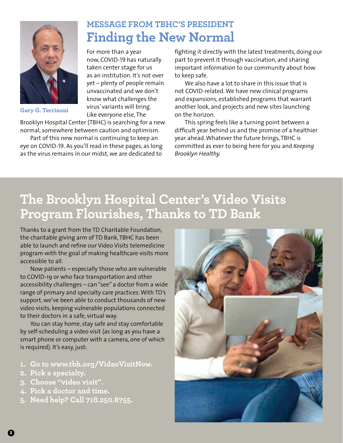

**Gary G. Terrinoni**

## **MESSAGE FROM TBHC'S PRESIDENT Finding the New Normal**

For more than a year now, COVID-19 has naturally taken center stage for us as an institution. It's not over yet – plenty of people remain unvaccinated and we don't know what challenges the virus' variants will bring. Like everyone else, The

Brooklyn Hospital Center (TBHC) is searching for a new normal, somewhere between caution and optimism.

Part of this new normal is continuing to keep an eye on COVID-19. As you'll read in these pages, as long as the virus remains in our midst, we are dedicated to

fighting it directly with the latest treatments, doing our part to prevent it through vaccination, and sharing important information to our community about how to keep safe.

We also have a lot to share in this issue that is not COVID-related. We have new clinical programs and expansions, established programs that warrant another look, and projects and new sites launching on the horizon.

This spring feels like a turning point between a difficult year behind us and the promise of a healthier year ahead. Whatever the future brings, TBHC is committed as ever to being here for you and *Keeping Brooklyn Healthy.*

# **The Brooklyn Hospital Center's Video Visits Program Flourishes, Thanks to TD Bank**

Thanks to a grant from the TD Charitable Foundation, the charitable giving arm of TD Bank, TBHC has been able to launch and refine our Video Visits telemedicine program with the goal of making healthcare visits more accessible to all.

Now patients – especially those who are vulnerable to COVID-19 or who face transportation and other accessibility challenges – can "see" a doctor from a wide range of primary and specialty care practices. With TD's support, we've been able to conduct thousands of new video visits, keeping vulnerable populations connected to their doctors in a safe, virtual way.

You can stay home, stay safe and stay comfortable by self-scheduling a video visit (as long as you have a smart phone or computer with a camera, one of which is required). It's easy, just:

- **1. Go to www.tbh.org/VideoVisitNow.**
- **2. Pick a specialty.**
- **3. Choose "video visit".**
- **4. Pick a doctor and time.**
- **5. Need help? Call 718.250.8755.**

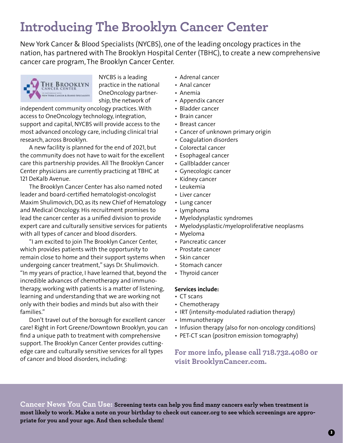# **Introducing The Brooklyn Cancer Center**

New York Cancer & Blood Specialists (NYCBS), one of the leading oncology practices in the nation, has partnered with The Brooklyn Hospital Center (TBHC), to create a new comprehensive cancer care program, The Brooklyn Cancer Center.



NYCBS is a leading practice in the national OneOncology partnership, the network of

independent community oncology practices. With access to OneOncology technology, integration, support and capital, NYCBS will provide access to the most advanced oncology care, including clinical trial research, across Brooklyn.

A new facility is planned for the end of 2021, but the community does not have to wait for the excellent care this partnership provides. All The Brooklyn Cancer Center physicians are currently practicing at TBHC at 121 DeKalb Avenue.

The Brooklyn Cancer Center has also named noted leader and board-certified hematologist-oncologist Maxim Shulimovich, DO, as its new Chief of Hematology and Medical Oncology. His recruitment promises to lead the cancer center as a unified division to provide expert care and culturally sensitive services for patients with all types of cancer and blood disorders.

"I am excited to join The Brooklyn Cancer Center, which provides patients with the opportunity to remain close to home and their support systems when undergoing cancer treatment," says Dr. Shulimovich. "In my years of practice, I have learned that, beyond the incredible advances of chemotherapy and immunotherapy, working with patients is a matter of listening, learning and understanding that we are working not only with their bodies and minds but also with their families."

Don't travel out of the borough for excellent cancer care! Right in Fort Greene/Downtown Brooklyn, you can find a unique path to treatment with comprehensive support. The Brooklyn Cancer Center provides cuttingedge care and culturally sensitive services for all types of cancer and blood disorders, including:

- Adrenal cancer
- Anal cancer
- Anemia
- Appendix cancer
- Bladder cancer
- Brain cancer
- Breast cancer
- Cancer of unknown primary origin
- Coagulation disorders
- Colorectal cancer
- Esophageal cancer
- Gallbladder cancer
- Gynecologic cancer
- Kidney cancer
- Leukemia
- Liver cancer
- Lung cancer
- Lymphoma
- Myelodysplastic syndromes
- Myelodysplastic/myeloproliferative neoplasms
- Myeloma
- Pancreatic cancer
- Prostate cancer
- Skin cancer
- Stomach cancer
- Thyroid cancer

#### **Services include:**

- CT scans
- Chemotherapy
- IRT (intensity-modulated radiation therapy)
- Immunotherapy
- Infusion therapy (also for non-oncology conditions)
- PET-CT scan (positron emission tomography)

**For more info, please call 718.732.4080 or visit BrooklynCancer.com.**

**Cancer News You Can Use: Screening tests can help you find many cancers early when treatment is most likely to work. Make a note on your birthday to check out cancer.org to see which screenings are appropriate for you and your age. And then schedule them!**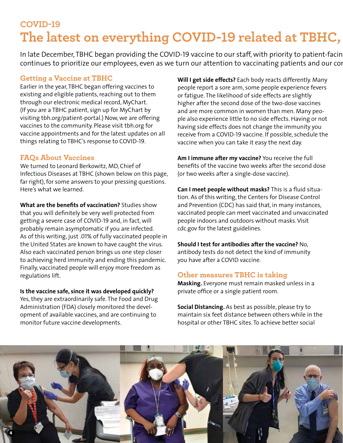## **COVID-19** The latest on everything COVID-19 related at TBHC,

In late December, TBHC began providing the COVID-19 vaccine to our staff, with priority to patient-facin continues to prioritize our employees, even as we turn our attention to vaccinating patients and our con

### **Getting a Vaccine at TBHC**

Earlier in the year, TBHC began offering vaccines to existing and eligible patients, reaching out to them through our electronic medical record, MyChart. (If you are a TBHC patient, sign up for MyChart by visiting tbh.org/patient-portal.) Now, we are offering vaccines to the community. Please visit tbh.org for vaccine appointments and for the latest updates on all things relating to TBHC's response to COVID-19.

### **FAQs About Vaccines**

We turned to Leonard Berkowitz, MD, Chief of Infectious Diseases at TBHC (shown below on this page, far right), for some answers to your pressing questions. Here's what we learned.

**What are the benefits of vaccination?** Studies show that you will definitely be very well protected from getting a severe case of COVID-19 and, in fact, will probably remain asymptomatic if you are infected. As of this writing, just .01% of fully vaccinated people in the United States are known to have caught the virus. Also each vaccinated person brings us one step closer to achieving herd immunity and ending this pandemic. Finally, vaccinated people will enjoy more freedom as regulations lift.

**Is the vaccine safe, since it was developed quickly?**  Yes, they are extraordinarily safe. The Food and Drug Administration (FDA) closely monitored the development of available vaccines, and are continuing to monitor future vaccine developments.

**Will I get side effects?** Each body reacts differently. Many people report a sore arm, some people experience fevers or fatigue. The likelihood of side effects are slightly higher after the second dose of the two-dose vaccines and are more common in women than men. Many people also experience little to no side effects. Having or not having side effects does not change the immunity you receive from a COVID-19 vaccine. If possible, schedule the vaccine when you can take it easy the next day.

**Am I immune after my vaccine?** You receive the full benefits of the vaccine two weeks after the second dose (or two weeks after a single-dose vaccine).

**Can I meet people without masks?** This is a fluid situation. As of this writing, the Centers for Disease Control and Prevention (CDC) has said that, in many instances, vaccinated people can meet vaccinated and unvaccinated people indoors and outdoors without masks. Visit cdc.gov for the latest guidelines.

**Should I test for antibodies after the vaccine?** No, antibody tests do not detect the kind of immunity you have after a COVID vaccine.

### **Other measures TBHC is taking**

**Masking.** Everyone must remain masked unless in a private office or a single patient room.

**Social Distancing.** As best as possible, please try to maintain six feet distance between others while in the hospital or other TBHC sites. To achieve better social

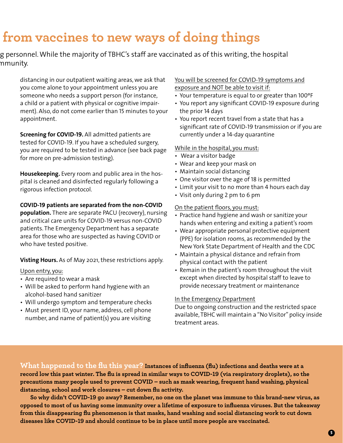# **from vaccines to new ways of doing things**

### g personnel. While the majority of TBHC's staff are vaccinated as of this writing, the hospital nmunity.

distancing in our outpatient waiting areas, we ask that you come alone to your appointment unless you are someone who needs a support person (for instance, a child or a patient with physical or cognitive impairment). Also, do not come earlier than 15 minutes to your appointment.

**Screening for COVID-19.** All admitted patients are tested for COVID-19. If you have a scheduled surgery, you are required to be tested in advance (see back page for more on pre-admission testing).

**Housekeeping.** Every room and public area in the hospital is cleaned and disinfected regularly following a rigorous infection protocol.

#### **COVID-19 patients are separated from the non-COVID**

**population.** There are separate PACU (recovery), nursing and critical care units for COVID-19 versus non-COVID patients. The Emergency Department has a separate area for those who are suspected as having COVID or who have tested positive.

**Visting Hours.** As of May 2021, these restrictions apply.

#### Upon entry, you:

- Are required to wear a mask
- Will be asked to perform hand hygiene with an alcohol-based hand sanitizer
- Will undergo symptom and temperature checks
- Must present ID, your name, address, cell phone number, and name of patient(s) you are visiting

#### You will be screened for COVID-19 symptoms and exposure and NOT be able to visit if:

- Your temperature is equal to or greater than 100ºF
- You report any significant COVID-19 exposure during the prior 14 days
- You report recent travel from a state that has a significant rate of COVID-19 transmission or if you are currently under a 14-day quarantine

#### While in the hospital, you must:

- Wear a visitor badge
- Wear and keep your mask on
- Maintain social distancing
- One visitor over the age of 18 is permitted
- Limit your visit to no more than 4 hours each day
- Visit only during 2 pm to 6 pm

#### On the patient floors, you must:

- Practice hand hygiene and wash or sanitize your hands when entering and exiting a patient's room
- Wear appropriate personal protective equipment (PPE) for isolation rooms, as recommended by the New York State Department of Health and the CDC
- Maintain a physical distance and refrain from physical contact with the patient
- Remain in the patient's room throughout the visit except when directed by hospital staff to leave to provide necessary treatment or maintenance

#### In the Emergency Department

Due to ongoing construction and the restricted space available, TBHC will maintain a "No Visitor" policy inside treatment areas.

**What happened to the flu this year? Instances of influenza (flu) infections and deaths were at a record low this past winter. The flu is spread in similar ways to COVID-19 (via respiratory droplets), so the precautions many people used to prevent COVID – such as mask wearing, frequent hand washing, physical distancing, school and work closures – cut down flu activity.** 

**So why didn't COVID-19 go away? Remember, no one on the planet was immune to this brand-new virus, as opposed to most of us having some immunity over a lifetime of exposure to influenza viruses. But the takeaway from this disappearing flu phenomenon is that masks, hand washing and social distancing work to cut down diseases like COVID-19 and should continue to be in place until more people are vaccinated.**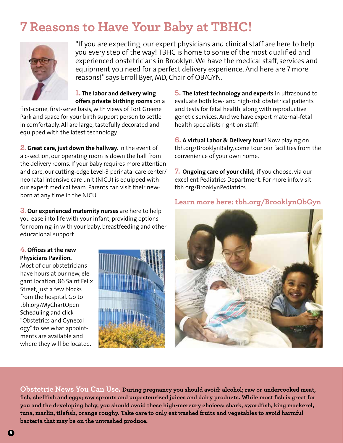## **7 Reasons to Have Your Baby at TBHC!**



"If you are expecting, our expert physicians and clinical staff are here to help you every step of the way! TBHC is home to some of the most qualified and experienced obstetricians in Brooklyn. We have the medical staff, services and equipment you need for a perfect delivery experience. And here are 7 more reasons!" says Erroll Byer, MD, Chair of OB/GYN.

**1. The labor and delivery wing offers private birthing rooms** on a

first-come, first-serve basis, with views of Fort Greene Park and space for your birth support person to settle in comfortably. All are large, tastefully decorated and equipped with the latest technology.

**2.Great care, just down the hallway.** In the event of a c-section, our operating room is down the hall from the delivery rooms. If your baby requires more attention and care, our cutting-edge Level-3 perinatal care center/ neonatal intensive care unit (NICU) is equipped with our expert medical team. Parents can visit their newborn at any time in the NICU.

**3. Our experienced maternity nurses** are here to help you ease into life with your infant, providing options for rooming-in with your baby, breastfeeding and other educational support.

### **4.Offices at the new Physicians Pavilion.**

Most of our obstetricians have hours at our new, elegant location, 86 Saint Felix Street, just a few blocks from the hospital. Go to tbh.org/MyChartOpen Scheduling and click "Obstetrics and Gynecology" to see what appointments are available and where they will be located.



**5. The latest technology and experts** in ultrasound to evaluate both low- and high-risk obstetrical patients and tests for fetal health, along with reproductive genetic services. And we have expert maternal-fetal health specialists right on staff!

**6. A virtual Labor & Delivery tour!** Now playing on tbh.org/BrooklynBaby, come tour our facilities from the convenience of your own home.

**7. Ongoing care of your child,** if you choose, via our excellent Pediatrics Department. For more info, visit tbh.org/BrooklynPediatrics.

### **Learn more here: tbh.org/BrooklynObGyn**



**Obstetric News You Can Use. During pregnancy you should avoid: alcohol; raw or undercooked meat, fish, shellfish and eggs; raw sprouts and unpasteurized juices and dairy products. While most fish is great for you and the developing baby, you should avoid these high-mercury choices: shark, swordfish, king mackerel, tuna, marlin, tilefish, orange roughy. Take care to only eat washed fruits and vegetables to avoid harmful bacteria that may be on the unwashed produce.**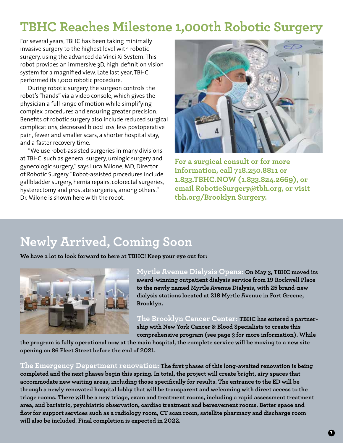## **TBHC Reaches Milestone 1,000th Robotic Surgery**

For several years, TBHC has been taking minimally invasive surgery to the highest level with robotic surgery, using the advanced da Vinci Xi System. This robot provides an immersive 3D, high-definition vision system for a magnified view. Late last year, TBHC performed its 1,000 robotic procedure.

During robotic surgery, the surgeon controls the robot's "hands" via a video console, which gives the physician a full range of motion while simplifying complex procedures and ensuring greater precision. Benefits of robotic surgery also include reduced surgical complications, decreased blood loss, less postoperative pain, fewer and smaller scars, a shorter hospital stay, and a faster recovery time.

"We use robot-assisted surgeries in many divisions at TBHC, such as general surgery, urologic surgery and gynecologic surgery," says Luca Milone, MD, Director of Robotic Surgery. "Robot-assisted procedures include gallbladder surgery, hernia repairs, colorectal surgeries, hysterectomy and prostate surgeries, among others." Dr. Milone is shown here with the robot.



**For a surgical consult or for more information, call 718.250.8811 or 1.833.TBHC.NOW (1.833.824.2669), or email RoboticSurgery@tbh.org, or visit tbh.org/Brooklyn Surgery.** 

## **Newly Arrived, Coming Soon**

**We have a lot to look forward to here at TBHC! Keep your eye out for:**



**Myrtle Avenue Dialysis Opens: On May 3, TBHC moved its award-winning outpatient dialysis service from 19 Rockwell Place to the newly named Myrtle Avenue Dialysis, with 25 brand-new dialysis stations located at 218 Myrtle Avenue in Fort Greene, Brooklyn.** 

**The Brooklyn Cancer Center: TBHC has entered a partnership with New York Cancer & Blood Specialists to create this comprehensive program (see page 3 for more information). While** 

**the program is fully operational now at the main hospital, the complete service will be moving to a new site opening on 86 Fleet Street before the end of 2021.**

**The Emergency Department renovation: The first phases of this long-awaited renovation is being completed and the next phases begin this spring. In total, the project will create bright, airy spaces that accommodate new waiting areas, including those specifically for results. The entrance to the ED will be through a newly renovated hospital lobby that will be transparent and welcoming with direct access to the triage rooms. There will be a new triage, exam and treatment rooms, including a rapid assessment treatment area, and bariatric, psychiatric observation, cardiac treatment and bereavement rooms. Better space and flow for support services such as a radiology room, CT scan room, satellite pharmacy and discharge room will also be included. Final completion is expected in 2022.**